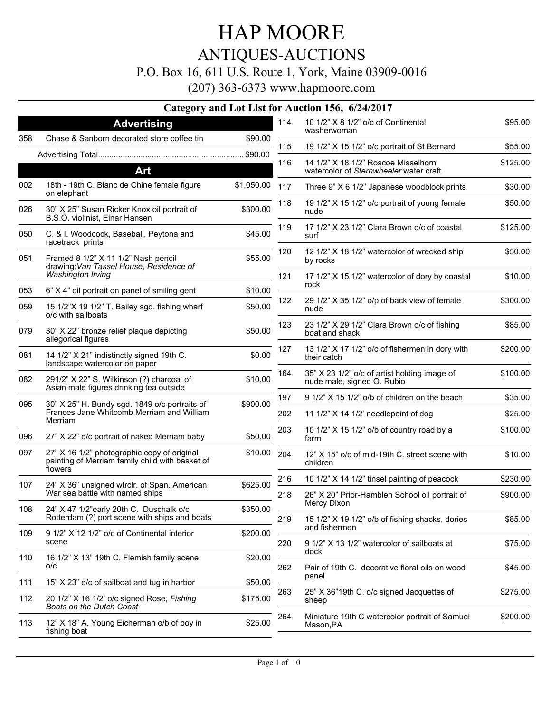## HAP MOORE ANTIQUES-AUCTIONS

#### P.O. Box 16, 611 U.S. Route 1, York, Maine 03909-0016

|     |                                                                                                           |            |     | Category and Lot List for Auction 156, 6/24/2017                           |          |
|-----|-----------------------------------------------------------------------------------------------------------|------------|-----|----------------------------------------------------------------------------|----------|
|     | <b>Advertising</b>                                                                                        |            | 114 | 10 1/2" X 8 1/2" o/c of Continental<br>washerwoman                         | \$95.00  |
| 358 | Chase & Sanborn decorated store coffee tin                                                                | \$90.00    | 115 | 19 1/2" X 15 1/2" o/c portrait of St Bernard                               | \$55.00  |
|     |                                                                                                           |            | 116 | 14 1/2" X 18 1/2" Roscoe Misselhorn                                        |          |
|     | Art                                                                                                       |            |     | watercolor of Sternwheeler water craft                                     | \$125.00 |
| 002 | 18th - 19th C. Blanc de Chine female figure<br>on elephant                                                | \$1,050.00 | 117 | Three 9" X 6 1/2" Japanese woodblock prints                                | \$30.00  |
| 026 | 30" X 25" Susan Ricker Knox oil portrait of<br>B.S.O. violinist, Einar Hansen                             | \$300.00   | 118 | 19 1/2" X 15 1/2" o/c portrait of young female<br>nude                     | \$50.00  |
| 050 | C. & I. Woodcock, Baseball, Peytona and<br>racetrack prints                                               | \$45.00    | 119 | 17 1/2" X 23 1/2" Clara Brown o/c of coastal<br>surf                       | \$125.00 |
| 051 | Framed 8 1/2" X 11 1/2" Nash pencil<br>drawing: Van Tassel House, Residence of                            | \$55.00    | 120 | 12 1/2" X 18 1/2" watercolor of wrecked ship<br>by rocks                   | \$50.00  |
|     | <b>Washington Irving</b>                                                                                  |            | 121 | 17 1/2" X 15 1/2" watercolor of dory by coastal<br>rock                    | \$10.00  |
| 053 | 6" X 4" oil portrait on panel of smiling gent                                                             | \$10.00    |     |                                                                            |          |
| 059 | 15 1/2"X 19 1/2" T. Bailey sgd. fishing wharf<br>o/c with sailboats                                       | \$50.00    | 122 | 29 1/2" X 35 1/2" o/p of back view of female<br>nude                       | \$300.00 |
| 079 | 30" X 22" bronze relief plaque depicting<br>allegorical figures                                           | \$50.00    | 123 | 23 1/2" X 29 1/2" Clara Brown o/c of fishing<br>boat and shack             | \$85.00  |
| 081 | 14 1/2" X 21" indistinctly signed 19th C.<br>landscape watercolor on paper                                | \$0.00     | 127 | 13 1/2" X 17 1/2" o/c of fishermen in dory with<br>their catch             | \$200.00 |
| 082 | 291/2" X 22" S. Wilkinson (?) charcoal of<br>Asian male figures drinking tea outside                      | \$10.00    | 164 | 35" X 23 1/2" o/c of artist holding image of<br>nude male, signed O. Rubio | \$100.00 |
| 095 | 30" X 25" H. Bundy sgd. 1849 o/c portraits of                                                             | \$900.00   | 197 | 9 1/2" X 15 1/2" o/b of children on the beach                              | \$35.00  |
|     | Frances Jane Whitcomb Merriam and William<br>Merriam                                                      |            | 202 | 11 1/2" X 14 1/2' needlepoint of dog                                       | \$25.00  |
| 096 | 27" X 22" o/c portrait of naked Merriam baby                                                              | \$50.00    | 203 | 10 1/2" X 15 1/2" o/b of country road by a<br>farm                         | \$100.00 |
| 097 | 27" X 16 1/2" photographic copy of original<br>painting of Merriam family child with basket of<br>flowers | \$10.00    | 204 | 12" X 15" o/c of mid-19th C. street scene with<br>children                 | \$10.00  |
| 107 | 24" X 36" unsigned wtrclr. of Span. American                                                              | \$625.00   | 216 | 10 1/2" X 14 1/2" tinsel painting of peacock                               | \$230.00 |
|     | War sea battle with named ships                                                                           |            | 218 | 26" X 20" Prior-Hamblen School oil portrait of                             | \$900.00 |
| 108 | 24" X 47 1/2"early 20th C. Duschalk o/c<br>Rotterdam (?) port scene with ships and boats                  | \$350.00   | 219 | Mercy Dixon<br>15 1/2" X 19 1/2" o/b of fishing shacks, dories             | \$85.00  |
| 109 | 9 1/2" X 12 1/2" o/c of Continental interior<br>scene                                                     | \$200.00   | 220 | and fishermen<br>9 1/2" X 13 1/2" watercolor of sailboats at               | \$75.00  |
| 110 | 16 1/2" X 13" 19th C. Flemish family scene<br>O/C                                                         | \$20.00    |     | dock                                                                       |          |
| 111 | 15" X 23" o/c of sailboat and tug in harbor                                                               | \$50.00    | 262 | Pair of 19th C. decorative floral oils on wood<br>panel                    | \$45.00  |
| 112 | 20 1/2" X 16 1/2' o/c signed Rose, Fishing<br><b>Boats on the Dutch Coast</b>                             | \$175.00   | 263 | 25" X 36"19th C. o/c signed Jacquettes of<br>sheep                         | \$275.00 |
| 113 | 12" X 18" A. Young Eicherman o/b of boy in<br>fishing boat                                                | \$25.00    | 264 | Miniature 19th C watercolor portrait of Samuel<br>Mason, PA                | \$200.00 |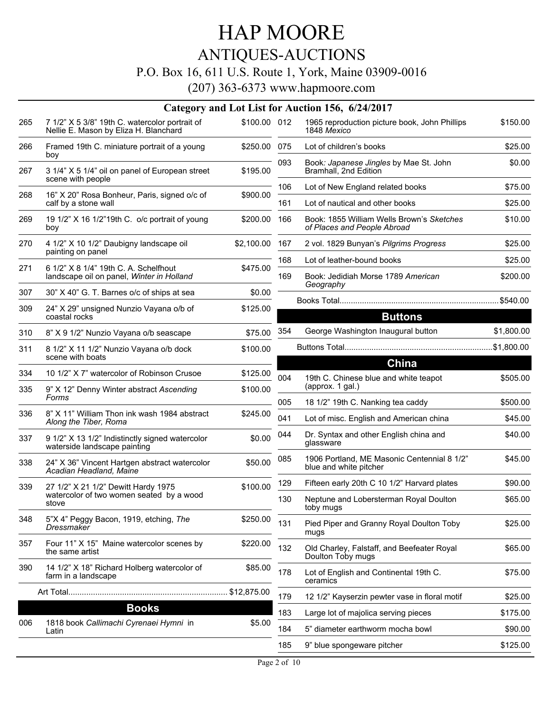### ANTIQUES-AUCTIONS

#### P.O. Box 16, 611 U.S. Route 1, York, Maine 03909-0016

|     | Category and Lot List for Auction 156, 6/24/2017                                                         |              |            |                                                                              |                     |  |  |  |
|-----|----------------------------------------------------------------------------------------------------------|--------------|------------|------------------------------------------------------------------------------|---------------------|--|--|--|
| 265 | 7 1/2" X 5 3/8" 19th C. watercolor portrait of<br>Nellie E. Mason by Eliza H. Blanchard                  | \$100.00 012 |            | 1965 reproduction picture book, John Phillips<br>1848 Mexico                 | \$150.00            |  |  |  |
| 266 | Framed 19th C. miniature portrait of a young<br>boy                                                      | \$250.00 075 |            | Lot of children's books                                                      | \$25.00             |  |  |  |
| 267 | 3 1/4" X 5 1/4" oil on panel of European street<br>scene with people                                     | \$195.00     | 093        | Book: Japanese Jingles by Mae St. John<br>Bramhall, 2nd Edition              | \$0.00              |  |  |  |
| 268 | 16" X 20" Rosa Bonheur, Paris, signed o/c of                                                             | \$900.00     | 106        | Lot of New England related books                                             | \$75.00             |  |  |  |
|     | calf by a stone wall                                                                                     |              | 161        | Lot of nautical and other books                                              | \$25.00             |  |  |  |
| 269 | 19 1/2" X 16 1/2"19th C. o/c portrait of young<br>boy                                                    | \$200.00     | 166        | Book: 1855 William Wells Brown's Sketches<br>of Places and People Abroad     | \$10.00             |  |  |  |
| 270 | 4 1/2" X 10 1/2" Daubigny landscape oil<br>painting on panel                                             | \$2,100.00   | 167        | 2 vol. 1829 Bunyan's Pilgrims Progress                                       | \$25.00             |  |  |  |
| 271 | 6 1/2" X 8 1/4" 19th C. A. Schelfhout                                                                    | \$475.00     | 168        | Lot of leather-bound books                                                   | \$25.00             |  |  |  |
|     | landscape oil on panel, Winter in Holland                                                                |              | 169        | Book: Jedidiah Morse 1789 American<br>Geography                              | \$200.00            |  |  |  |
| 307 | 30" X 40" G. T. Barnes o/c of ships at sea                                                               | \$0.00       |            |                                                                              |                     |  |  |  |
| 309 | 24" X 29" unsigned Nunzio Vayana o/b of<br>coastal rocks                                                 | \$125.00     |            | <b>Buttons</b>                                                               |                     |  |  |  |
| 310 | 8" X 9 1/2" Nunzio Vayana o/b seascape                                                                   | \$75.00      | 354        | George Washington Inaugural button                                           | \$1,800.00          |  |  |  |
| 311 | 8 1/2" X 11 1/2" Nunzio Vayana o/b dock<br>scene with boats                                              | \$100.00     |            |                                                                              |                     |  |  |  |
| 334 | 10 1/2" X 7" watercolor of Robinson Crusoe                                                               | \$125.00     |            | <b>China</b>                                                                 |                     |  |  |  |
| 335 | 9" X 12" Denny Winter abstract Ascending<br>Forms                                                        | \$100.00     | 004        | 19th C. Chinese blue and white teapot<br>(approx. 1 gal.)                    | \$505.00            |  |  |  |
| 336 | 8" X 11" William Thon ink wash 1984 abstract                                                             | \$245.00     | 005<br>041 | 18 1/2" 19th C. Nanking tea caddy<br>Lot of misc. English and American china | \$500.00<br>\$45.00 |  |  |  |
| 337 | Along the Tiber, Roma<br>9 1/2" X 13 1/2" Indistinctly signed watercolor<br>waterside landscape painting | \$0.00       | 044        | Dr. Syntax and other English china and<br>glassware                          | \$40.00             |  |  |  |
| 338 | 24" X 36" Vincent Hartgen abstract watercolor<br>Acadian Headland, Maine                                 | \$50.00      | 085        | 1906 Portland, ME Masonic Centennial 8 1/2"<br>blue and white pitcher        | \$45.00             |  |  |  |
| 339 | 27 1/2" X 21 1/2" Dewitt Hardy 1975                                                                      | \$100.00     | 129        | Fifteen early 20th C 10 1/2" Harvard plates                                  | \$90.00             |  |  |  |
|     | watercolor of two women seated by a wood<br>stove                                                        |              | 130        | Neptune and Lobersterman Royal Doulton<br>toby mugs                          | \$65.00             |  |  |  |
| 348 | 5"X 4" Peggy Bacon, 1919, etching, The<br>Dressmaker                                                     | \$250.00     | 131        | Pied Piper and Granny Royal Doulton Toby<br>mugs                             | \$25.00             |  |  |  |
| 357 | Four 11" X 15" Maine watercolor scenes by<br>the same artist                                             | \$220.00     | 132        | Old Charley, Falstaff, and Beefeater Royal<br>Doulton Toby mugs              | \$65.00             |  |  |  |
| 390 | 14 1/2" X 18" Richard Holberg watercolor of<br>farm in a landscape                                       | \$85.00      | 178        | Lot of English and Continental 19th C.<br>ceramics                           | \$75.00             |  |  |  |
|     |                                                                                                          |              | 179        | 12 1/2" Kayserzin pewter vase in floral motif                                | \$25.00             |  |  |  |
|     | <b>Books</b>                                                                                             |              | 183        | Large lot of majolica serving pieces                                         | \$175.00            |  |  |  |
| 006 | 1818 book Callimachi Cyrenaei Hymni in<br>Latin                                                          | \$5.00       | 184        | 5" diameter earthworm mocha bowl                                             | \$90.00             |  |  |  |
|     |                                                                                                          |              | 185        | 9" blue spongeware pitcher                                                   | \$125.00            |  |  |  |
|     |                                                                                                          |              |            |                                                                              |                     |  |  |  |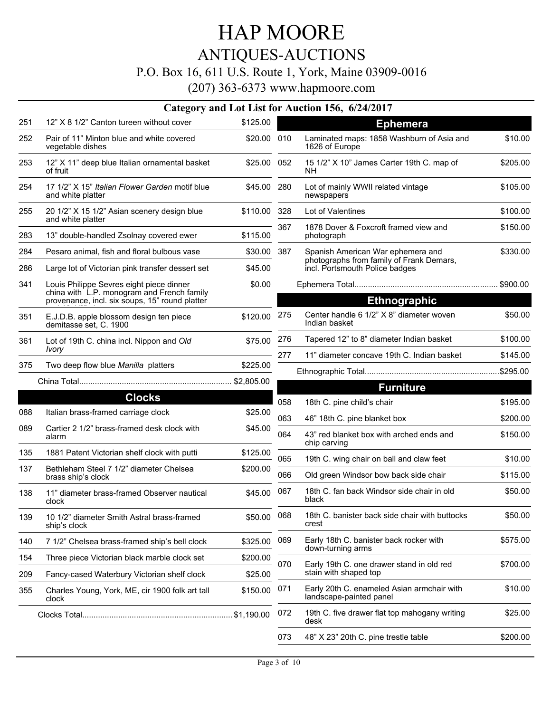# ANTIQUES-AUCTIONS

### P.O. Box 16, 611 U.S. Route 1, York, Maine 03909-0016

|     |                                                                                                                                          |             |     | Category and Lot List for Auction 156, 6/24/2017                           |          |
|-----|------------------------------------------------------------------------------------------------------------------------------------------|-------------|-----|----------------------------------------------------------------------------|----------|
| 251 | 12" X 8 1/2" Canton tureen without cover                                                                                                 | \$125.00    |     | <b>Ephemera</b>                                                            |          |
| 252 | Pair of 11" Minton blue and white covered<br>vegetable dishes                                                                            | \$20.00 010 |     | Laminated maps: 1858 Washburn of Asia and<br>1626 of Europe                | \$10.00  |
| 253 | 12" X 11" deep blue Italian ornamental basket<br>of fruit                                                                                | \$25.00 052 |     | 15 1/2" X 10" James Carter 19th C. map of<br>NΗ                            | \$205.00 |
| 254 | 17 1/2" X 15" Italian Flower Garden motif blue<br>and white platter                                                                      | \$45.00 280 |     | Lot of mainly WWII related vintage<br>newspapers                           | \$105.00 |
| 255 | 20 1/2" X 15 1/2" Asian scenery design blue<br>and white platter                                                                         | \$110.00    | 328 | Lot of Valentines                                                          | \$100.00 |
| 283 | 13" double-handled Zsolnay covered ewer                                                                                                  | \$115.00    | 367 | 1878 Dover & Foxcroft framed view and<br>photograph                        | \$150.00 |
| 284 | Pesaro animal, fish and floral bulbous vase                                                                                              | \$30.00     | 387 | Spanish American War ephemera and                                          | \$330.00 |
| 286 | Large lot of Victorian pink transfer dessert set                                                                                         | \$45.00     |     | photographs from family of Frank Demars,<br>incl. Portsmouth Police badges |          |
| 341 | Louis Philippe Sevres eight piece dinner<br>china with L.P. monogram and French family<br>provenance, incl. six soups, 15" round platter | \$0.00      |     | <b>Ethnographic</b>                                                        |          |
| 351 | E.J.D.B. apple blossom design ten piece<br>demitasse set, C. 1900                                                                        | \$120.00    | 275 | Center handle 6 1/2" X 8" diameter woven<br>Indian basket                  | \$50.00  |
| 361 | Lot of 19th C. china incl. Nippon and Old                                                                                                | \$75.00     | 276 | Tapered 12" to 8" diameter Indian basket                                   | \$100.00 |
|     | <i><u><b>Ivory</b></u></i>                                                                                                               |             | 277 | 11" diameter concave 19th C. Indian basket                                 | \$145.00 |
| 375 | Two deep flow blue Manilla platters                                                                                                      | \$225.00    |     |                                                                            |          |
|     |                                                                                                                                          |             |     | <b>Furniture</b>                                                           |          |
|     | <b>Clocks</b>                                                                                                                            |             | 058 | 18th C. pine child's chair                                                 | \$195.00 |
| 088 | Italian brass-framed carriage clock                                                                                                      | \$25.00     | 063 | 46" 18th C. pine blanket box                                               | \$200.00 |
| 089 | Cartier 2 1/2" brass-framed desk clock with<br>alarm                                                                                     | \$45.00     | 064 | 43" red blanket box with arched ends and<br>chip carving                   | \$150.00 |
| 135 | 1881 Patent Victorian shelf clock with putti                                                                                             | \$125.00    | 065 | 19th C. wing chair on ball and claw feet                                   | \$10.00  |
| 137 | Bethleham Steel 7 1/2" diameter Chelsea                                                                                                  | \$200.00    | 066 | Old green Windsor bow back side chair                                      | \$115.00 |
|     | brass ship's clock                                                                                                                       |             |     |                                                                            |          |
| 138 | 11" diameter brass-framed Observer nautical<br>clock                                                                                     | \$45.00     | 067 | 18th C. fan back Windsor side chair in old<br>black                        | \$50.00  |
| 139 | 10 1/2" diameter Smith Astral brass-framed<br>ship's clock                                                                               | \$50.00     | 068 | 18th C. banister back side chair with buttocks<br>crest                    | \$50.00  |
| 140 | 7 1/2" Chelsea brass-framed ship's bell clock                                                                                            | \$325.00    | 069 | Early 18th C. banister back rocker with                                    | \$575.00 |
| 154 | Three piece Victorian black marble clock set                                                                                             | \$200.00    |     | down-turning arms                                                          |          |
| 209 | Fancy-cased Waterbury Victorian shelf clock                                                                                              | \$25.00     | 070 | Early 19th C. one drawer stand in old red<br>stain with shaped top         | \$700.00 |
| 355 | Charles Young, York, ME, cir 1900 folk art tall<br>clock                                                                                 | \$150.00    | 071 | Early 20th C. enameled Asian armchair with<br>landscape-painted panel      | \$10.00  |
|     |                                                                                                                                          |             | 072 | 19th C. five drawer flat top mahogany writing<br>desk                      | \$25.00  |
|     |                                                                                                                                          |             | 073 | 48" X 23" 20th C. pine trestle table                                       | \$200.00 |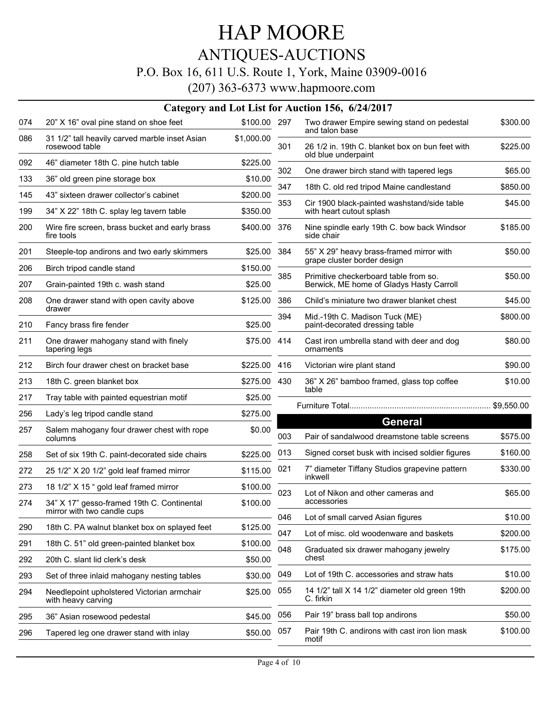### HAP MOORE ANTIQUES-AUCTIONS P.O. Box 16, 611 U.S. Route 1, York, Maine 03909-0016

|     |                                                                           |              |     | Category and Lot List for Auction 156, 6/24/2017                                  |            |
|-----|---------------------------------------------------------------------------|--------------|-----|-----------------------------------------------------------------------------------|------------|
| 074 | 20" X 16" oval pine stand on shoe feet                                    | \$100.00 297 |     | Two drawer Empire sewing stand on pedestal<br>and talon base                      | \$300.00   |
| 086 | 31 1/2" tall heavily carved marble inset Asian<br>rosewood table          | \$1,000.00   | 301 | 26 1/2 in. 19th C. blanket box on bun feet with                                   | \$225.00   |
| 092 | 46" diameter 18th C. pine hutch table                                     | \$225.00     |     | old blue underpaint                                                               |            |
| 133 | 36" old green pine storage box                                            | \$10.00      | 302 | One drawer birch stand with tapered legs                                          | \$65.00    |
| 145 | 43" sixteen drawer collector's cabinet                                    | \$200.00     | 347 | 18th C. old red tripod Maine candlestand                                          | \$850.00   |
| 199 | 34" X 22" 18th C. splay leg tavern table                                  | \$350.00     | 353 | Cir 1900 black-painted washstand/side table<br>with heart cutout splash           | \$45.00    |
| 200 | Wire fire screen, brass bucket and early brass<br>fire tools              | \$400.00     | 376 | Nine spindle early 19th C. bow back Windsor<br>side chair                         | \$185.00   |
| 201 | Steeple-top andirons and two early skimmers                               | \$25.00      | 384 | 55" X 29" heavy brass-framed mirror with                                          | \$50.00    |
| 206 | Birch tripod candle stand                                                 | \$150.00     |     | grape cluster border design                                                       |            |
| 207 | Grain-painted 19th c. wash stand                                          | \$25.00      | 385 | Primitive checkerboard table from so.<br>Berwick, ME home of Gladys Hasty Carroll | \$50.00    |
| 208 | One drawer stand with open cavity above                                   | \$125.00     | 386 | Child's miniature two drawer blanket chest                                        | \$45.00    |
| 210 | drawer<br>Fancy brass fire fender                                         | \$25.00      | 394 | Mid.-19th C. Madison Tuck (ME)<br>paint-decorated dressing table                  | \$800.00   |
| 211 | One drawer mahogany stand with finely<br>tapering legs                    | \$75.00      | 414 | Cast iron umbrella stand with deer and dog<br>ornaments                           | \$80.00    |
| 212 | Birch four drawer chest on bracket base                                   | \$225.00     | 416 | Victorian wire plant stand                                                        | \$90.00    |
| 213 | 18th C. green blanket box                                                 | \$275.00     | 430 | 36" X 26" bamboo framed, glass top coffee                                         | \$10.00    |
| 217 | Tray table with painted equestrian motif                                  | \$25.00      |     | table                                                                             |            |
| 256 | Lady's leg tripod candle stand                                            | \$275.00     |     |                                                                                   | \$9,550.00 |
| 257 | Salem mahogany four drawer chest with rope<br>columns                     | \$0.00       | 003 | <b>General</b><br>Pair of sandalwood dreamstone table screens                     | \$575.00   |
| 258 | Set of six 19th C. paint-decorated side chairs                            | \$225.00     | 013 | Signed corset busk with incised soldier figures                                   | \$160.00   |
| 272 | 25 1/2" X 20 1/2" gold leaf framed mirror                                 | \$115.00     | 021 | 7" diameter Tiffany Studios grapevine pattern<br>inkwell                          | \$330.00   |
| 273 | 18 1/2" X 15 " gold leaf framed mirror                                    | \$100.00     |     |                                                                                   |            |
| 274 | 34" X 17" gesso-framed 19th C. Continental<br>mirror with two candle cups | \$100.00     | 023 | Lot of Nikon and other cameras and<br>accessories                                 | \$65.00    |
| 290 | 18th C. PA walnut blanket box on splayed feet                             | \$125.00     | 046 | Lot of small carved Asian figures                                                 | \$10.00    |
| 291 | 18th C. 51" old green-painted blanket box                                 | \$100.00     | 047 | Lot of misc. old woodenware and baskets                                           | \$200.00   |
| 292 | 20th C. slant lid clerk's desk                                            | \$50.00      | 048 | Graduated six drawer mahogany jewelry<br>chest                                    | \$175.00   |
| 293 | Set of three inlaid mahogany nesting tables                               | \$30.00      | 049 | Lot of 19th C. accessories and straw hats                                         | \$10.00    |
| 294 | Needlepoint upholstered Victorian armchair<br>with heavy carving          | \$25.00      | 055 | 14 1/2" tall X 14 1/2" diameter old green 19th<br>C. firkin                       | \$200.00   |
| 295 | 36" Asian rosewood pedestal                                               | \$45.00      | 056 | Pair 19" brass ball top andirons                                                  | \$50.00    |
| 296 | Tapered leg one drawer stand with inlay                                   | \$50.00      | 057 | Pair 19th C. andirons with cast iron lion mask<br>motif                           | \$100.00   |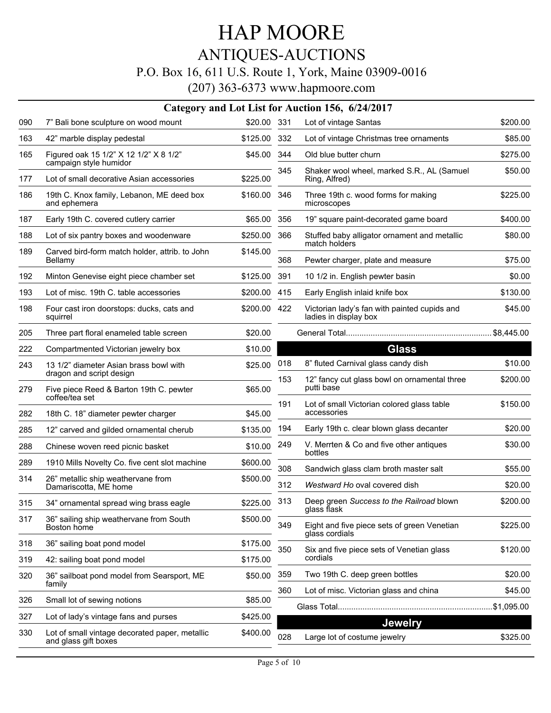### ANTIQUES-AUCTIONS

#### P.O. Box 16, 611 U.S. Route 1, York, Maine 03909-0016

|     |                                                                    |              |     | Category and Lot List for Auction 156, 6/24/2017                      |          |
|-----|--------------------------------------------------------------------|--------------|-----|-----------------------------------------------------------------------|----------|
| 090 | 7" Bali bone sculpture on wood mount                               | \$20.00 331  |     | Lot of vintage Santas                                                 | \$200.00 |
| 163 | 42" marble display pedestal                                        | \$125.00 332 |     | Lot of vintage Christmas tree ornaments                               | \$85.00  |
| 165 | Figured oak 15 1/2" X 12 1/2" X 8 1/2"<br>campaign style humidor   | \$45.00      | 344 | Old blue butter churn                                                 | \$275.00 |
| 177 | Lot of small decorative Asian accessories                          | \$225.00     | 345 | Shaker wool wheel, marked S.R., AL (Samuel<br>Ring, Alfred)           | \$50.00  |
| 186 | 19th C. Knox family, Lebanon, ME deed box<br>and ephemera          | \$160.00     | 346 | Three 19th c. wood forms for making<br>microscopes                    | \$225.00 |
| 187 | Early 19th C. covered cutlery carrier                              | \$65.00      | 356 | 19" square paint-decorated game board                                 | \$400.00 |
| 188 | Lot of six pantry boxes and woodenware                             | \$250.00     | 366 | Stuffed baby alligator ornament and metallic<br>match holders         | \$80.00  |
| 189 | Carved bird-form match holder, attrib. to John<br>Bellamy          | \$145.00     | 368 | Pewter charger, plate and measure                                     | \$75.00  |
| 192 | Minton Genevise eight piece chamber set                            | \$125.00     | 391 | 10 1/2 in. English pewter basin                                       | \$0.00   |
| 193 | Lot of misc. 19th C. table accessories                             | \$200.00     | 415 | Early English inlaid knife box                                        | \$130.00 |
| 198 | Four cast iron doorstops: ducks, cats and<br>squirrel              | \$200.00 422 |     | Victorian lady's fan with painted cupids and<br>ladies in display box | \$45.00  |
| 205 | Three part floral enameled table screen                            | \$20.00      |     |                                                                       |          |
| 222 | Compartmented Victorian jewelry box                                | \$10.00      |     | <b>Glass</b>                                                          |          |
| 243 | 13 1/2" diameter Asian brass bowl with<br>dragon and script design | \$25.00      | 018 | 8" fluted Carnival glass candy dish                                   | \$10.00  |
| 279 | Five piece Reed & Barton 19th C. pewter<br>coffee/tea set          | \$65.00      | 153 | 12" fancy cut glass bowl on ornamental three<br>putti base            | \$200.00 |
| 282 | 18th C. 18" diameter pewter charger                                | \$45.00      | 191 | Lot of small Victorian colored glass table<br>accessories             | \$150.00 |
| 285 | 12" carved and gilded ornamental cherub                            | \$135.00     | 194 | Early 19th c. clear blown glass decanter                              | \$20.00  |
| 288 | Chinese woven reed picnic basket                                   | \$10.00      | 249 | V. Merrten & Co and five other antiques<br>bottles                    | \$30.00  |
| 289 | 1910 Mills Novelty Co. five cent slot machine                      | \$600.00     | 308 | Sandwich glass clam broth master salt                                 | \$55.00  |
| 314 | 26" metallic ship weathervane from<br>Damariscotta, ME home        | \$500.00     | 312 | Westward Ho oval covered dish                                         | \$20.00  |
| 315 | 34" ornamental spread wing brass eagle                             | \$225.00 313 |     | Deep green Success to the Railroad blown<br>glass flask               | \$200.00 |
| 317 | 36" sailing ship weathervane from South<br>Boston home             | \$500.00     | 349 | Eight and five piece sets of green Venetian<br>glass cordials         | \$225.00 |
| 318 | 36" sailing boat pond model                                        | \$175.00     | 350 | Six and five piece sets of Venetian glass                             | \$120.00 |
| 319 | 42: sailing boat pond model                                        | \$175.00     |     | cordials                                                              |          |
| 320 | 36" sailboat pond model from Searsport, ME<br>family               | \$50.00      | 359 | Two 19th C. deep green bottles                                        | \$20.00  |
| 326 | Small lot of sewing notions                                        | \$85.00      | 360 | Lot of misc. Victorian glass and china                                | \$45.00  |
| 327 | Lot of lady's vintage fans and purses                              | \$425.00     |     |                                                                       |          |
| 330 | Lot of small vintage decorated paper, metallic                     | \$400.00     |     | <b>Jewelry</b>                                                        |          |
|     | and glass gift boxes                                               |              | 028 | Large lot of costume jewelry                                          | \$325.00 |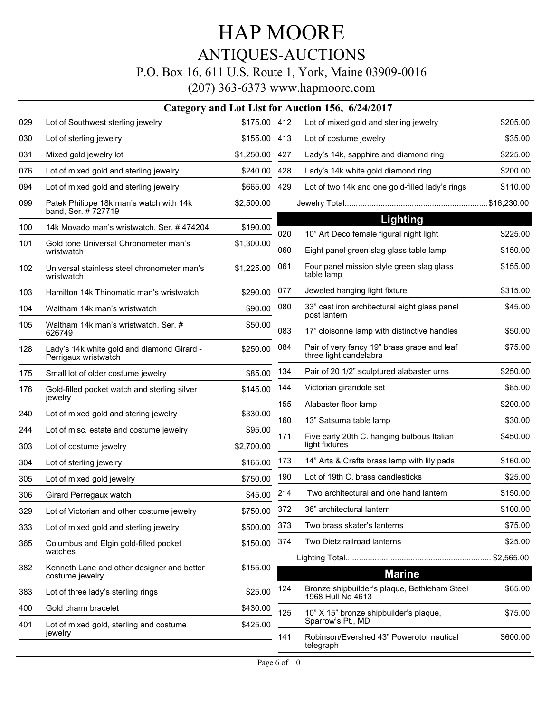### ANTIQUES-AUCTIONS

#### P.O. Box 16, 611 U.S. Route 1, York, Maine 03909-0016

|     |                                                                    |              |     | Category and Lot List for Auction 156, 6/24/2017                      |          |
|-----|--------------------------------------------------------------------|--------------|-----|-----------------------------------------------------------------------|----------|
| 029 | Lot of Southwest sterling jewelry                                  | \$175.00 412 |     | Lot of mixed gold and sterling jewelry                                | \$205.00 |
| 030 | Lot of sterling jewelry                                            | \$155.00     | 413 | Lot of costume jewelry                                                | \$35.00  |
| 031 | Mixed gold jewelry lot                                             | \$1,250.00   | 427 | Lady's 14k, sapphire and diamond ring                                 | \$225.00 |
| 076 | Lot of mixed gold and sterling jewelry                             | \$240.00     | 428 | Lady's 14k white gold diamond ring                                    | \$200.00 |
| 094 | Lot of mixed gold and sterling jewelry                             | \$665.00     | 429 | Lot of two 14k and one gold-filled lady's rings                       | \$110.00 |
| 099 | Patek Philippe 18k man's watch with 14k<br>band, Ser. #727719      | \$2,500.00   |     |                                                                       |          |
| 100 | 14k Movado man's wristwatch, Ser. #474204                          | \$190.00     |     | <b>Lighting</b>                                                       |          |
| 101 | Gold tone Universal Chronometer man's                              | \$1,300.00   | 020 | 10" Art Deco female figural night light                               | \$225.00 |
|     | wristwatch                                                         |              | 060 | Eight panel green slag glass table lamp                               | \$150.00 |
| 102 | Universal stainless steel chronometer man's<br>wristwatch          | \$1,225.00   | 061 | Four panel mission style green slag glass<br>table lamp               | \$155.00 |
| 103 | Hamilton 14k Thinomatic man's wristwatch                           | \$290.00     | 077 | Jeweled hanging light fixture                                         | \$315.00 |
| 104 | Waltham 14k man's wristwatch                                       | \$90.00      | 080 | 33" cast iron architectural eight glass panel<br>post lantern         | \$45.00  |
| 105 | Waltham 14k man's wristwatch, Ser. #<br>626749                     | \$50.00      | 083 | 17" cloisonné lamp with distinctive handles                           | \$50.00  |
| 128 | Lady's 14k white gold and diamond Girard -<br>Perrigaux wristwatch | \$250.00     | 084 | Pair of very fancy 19" brass grape and leaf<br>three light candelabra | \$75.00  |
| 175 | Small lot of older costume jewelry                                 | \$85.00      | 134 | Pair of 20 1/2" sculptured alabaster urns                             | \$250.00 |
| 176 | Gold-filled pocket watch and sterling silver                       | \$145.00     | 144 | Victorian girandole set                                               | \$85.00  |
|     | jewelry                                                            |              | 155 | Alabaster floor lamp                                                  | \$200.00 |
| 240 | Lot of mixed gold and stering jewelry                              | \$330.00     | 160 | 13" Satsuma table lamp                                                | \$30.00  |
| 244 | Lot of misc. estate and costume jewelry                            | \$95.00      | 171 | Five early 20th C. hanging bulbous Italian                            | \$450.00 |
| 303 | Lot of costume jewelry                                             | \$2,700.00   |     | light fixtures                                                        |          |
| 304 | Lot of sterling jewelry                                            | \$165.00     | 173 | 14" Arts & Crafts brass lamp with lily pads                           | \$160.00 |
| 305 | Lot of mixed gold jewelry                                          | \$750.00     | 190 | Lot of 19th C. brass candlesticks                                     | \$25.00  |
| 306 | Girard Perregaux watch                                             | \$45.00      | 214 | Two architectural and one hand lantern                                | \$150.00 |
| 329 | Lot of Victorian and other costume jewelry                         | \$750.00     | 372 | 36" architectural lantern                                             | \$100.00 |
| 333 | Lot of mixed gold and sterling jewelry                             | \$500.00     | 373 | Two brass skater's lanterns                                           | \$75.00  |
| 365 | Columbus and Elgin gold-filled pocket<br>watches                   | \$150.00     | 374 | Two Dietz railroad lanterns                                           | \$25.00  |
| 382 | Kenneth Lane and other designer and better                         | \$155.00     |     |                                                                       |          |
|     | costume jewelry                                                    |              |     | <b>Marine</b>                                                         |          |
| 383 | Lot of three lady's sterling rings                                 | \$25.00      | 124 | Bronze shipbuilder's plaque, Bethleham Steel<br>1968 Hull No 4613     | \$65.00  |
| 400 | Gold charm bracelet                                                | \$430.00     | 125 | 10" X 15" bronze shipbuilder's plaque,                                | \$75.00  |
| 401 | Lot of mixed gold, sterling and costume                            | \$425.00     |     | Sparrow's Pt., MD                                                     |          |
|     | jewelry                                                            |              | 141 | Robinson/Evershed 43" Powerotor nautical<br>telegraph                 | \$600.00 |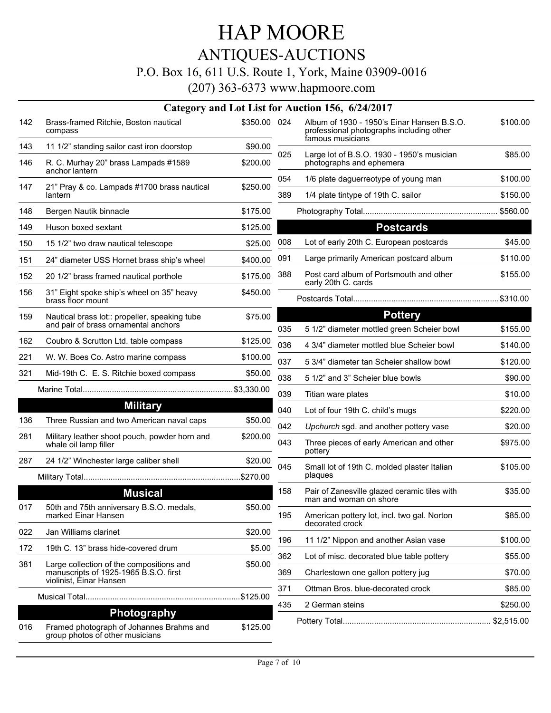# ANTIQUES-AUCTIONS

### P.O. Box 16, 611 U.S. Route 1, York, Maine 03909-0016

|     | Category and Lot List for Auction 156, 6/24/2017                            |              |     |                                                                                                            |          |  |  |
|-----|-----------------------------------------------------------------------------|--------------|-----|------------------------------------------------------------------------------------------------------------|----------|--|--|
| 142 | Brass-framed Ritchie, Boston nautical<br>compass                            | \$350.00 024 |     | Album of 1930 - 1950's Einar Hansen B.S.O.<br>professional photographs including other<br>famous musicians | \$100.00 |  |  |
| 143 | 11 1/2" standing sailor cast iron doorstop                                  | \$90.00      | 025 | Large lot of B.S.O. 1930 - 1950's musician                                                                 | \$85.00  |  |  |
| 146 | R. C. Murhay 20" brass Lampads #1589<br>anchor lantern                      | \$200.00     |     | photographs and ephemera                                                                                   |          |  |  |
| 147 | 21" Pray & co. Lampads #1700 brass nautical                                 | \$250.00     | 054 | 1/6 plate daguerreotype of young man                                                                       | \$100.00 |  |  |
|     | lantern                                                                     |              | 389 | 1/4 plate tintype of 19th C. sailor                                                                        | \$150.00 |  |  |
| 148 | Bergen Nautik binnacle                                                      | \$175.00     |     |                                                                                                            |          |  |  |
| 149 | Huson boxed sextant                                                         | \$125.00     |     | <b>Postcards</b>                                                                                           |          |  |  |
| 150 | 15 1/2" two draw nautical telescope                                         | \$25.00      | 008 | Lot of early 20th C. European postcards                                                                    | \$45.00  |  |  |
| 151 | 24" diameter USS Hornet brass ship's wheel                                  | \$400.00     | 091 | Large primarily American postcard album                                                                    | \$110.00 |  |  |
| 152 | 20 1/2" brass framed nautical porthole                                      | \$175.00     | 388 | Post card album of Portsmouth and other<br>early 20th C. cards                                             | \$155.00 |  |  |
| 156 | 31" Eight spoke ship's wheel on 35" heavy<br>brass floor mount              | \$450.00     |     |                                                                                                            |          |  |  |
| 159 | Nautical brass lot:: propeller, speaking tube                               | \$75.00      |     | <b>Pottery</b>                                                                                             |          |  |  |
|     | and pair of brass ornamental anchors                                        |              | 035 | 5 1/2" diameter mottled green Scheier bowl                                                                 | \$155.00 |  |  |
| 162 | Coubro & Scrutton Ltd. table compass                                        | \$125.00     | 036 | 4 3/4" diameter mottled blue Scheier bowl                                                                  | \$140.00 |  |  |
| 221 | W. W. Boes Co. Astro marine compass                                         | \$100.00     | 037 | 5 3/4" diameter tan Scheier shallow bowl                                                                   | \$120.00 |  |  |
| 321 | Mid-19th C. E. S. Ritchie boxed compass                                     | \$50.00      | 038 | 5 1/2" and 3" Scheier blue bowls                                                                           | \$90.00  |  |  |
|     |                                                                             |              | 039 | Titian ware plates                                                                                         | \$10.00  |  |  |
|     | <b>Military</b>                                                             |              | 040 | Lot of four 19th C. child's mugs                                                                           | \$220.00 |  |  |
| 136 | Three Russian and two American naval caps                                   | \$50.00      | 042 | Upchurch sgd. and another pottery vase                                                                     | \$20.00  |  |  |
| 281 | Military leather shoot pouch, powder horn and<br>whale oil lamp filler      | \$200.00     | 043 | Three pieces of early American and other<br>pottery                                                        | \$975.00 |  |  |
| 287 | 24 1/2" Winchester large caliber shell                                      | \$20.00      | 045 | Small lot of 19th C. molded plaster Italian                                                                | \$105.00 |  |  |
|     |                                                                             |              |     | plaques                                                                                                    |          |  |  |
|     | <b>Musical</b>                                                              |              | 158 | Pair of Zanesville glazed ceramic tiles with<br>man and woman on shore                                     | \$35.00  |  |  |
| 017 | 50th and 75th anniversary B.S.O. medals,<br>marked Einar Hansen             | \$50.00      | 195 | American pottery lot, incl. two gal. Norton<br>decorated crock                                             | \$85.00  |  |  |
| 022 | Jan Williams clarinet                                                       | \$20.00      | 196 | 11 1/2" Nippon and another Asian vase                                                                      | \$100.00 |  |  |
| 172 | 19th C. 13" brass hide-covered drum                                         | \$5.00       | 362 | Lot of misc. decorated blue table pottery                                                                  | \$55.00  |  |  |
| 381 | Large collection of the compositions and                                    | \$50.00      |     |                                                                                                            | \$70.00  |  |  |
|     | manuscripts of 1925-1965 B.S.O. first<br>violinist, Einar Hansen            |              | 369 | Charlestown one gallon pottery jug                                                                         |          |  |  |
|     |                                                                             |              | 371 | Ottman Bros. blue-decorated crock                                                                          | \$85.00  |  |  |
|     | Photography                                                                 |              | 435 | 2 German steins                                                                                            | \$250.00 |  |  |
| 016 | Framed photograph of Johannes Brahms and<br>group photos of other musicians | \$125.00     |     |                                                                                                            |          |  |  |
|     |                                                                             |              |     |                                                                                                            |          |  |  |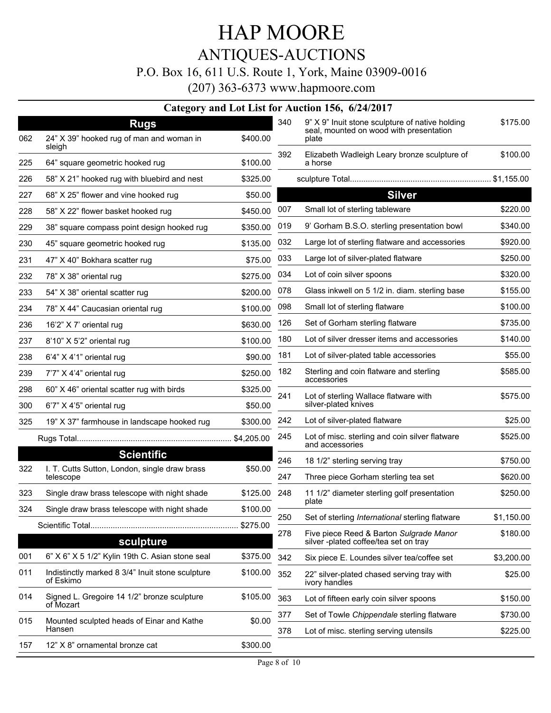### HAP MOORE ANTIQUES-AUCTIONS P.O. Box 16, 611 U.S. Route 1, York, Maine 03909-0016

|     |                                                               |              |     | Category and Lot List for Auction 156, 6/24/2017                                                    |            |
|-----|---------------------------------------------------------------|--------------|-----|-----------------------------------------------------------------------------------------------------|------------|
| 062 | <b>Rugs</b><br>24" X 39" hooked rug of man and woman in       | \$400.00     | 340 | 9" X 9" Inuit stone sculpture of native holding<br>seal, mounted on wood with presentation<br>plate | \$175.00   |
|     | sleigh                                                        |              |     |                                                                                                     |            |
| 225 | 64" square geometric hooked rug                               | \$100.00     | 392 | Elizabeth Wadleigh Leary bronze sculpture of<br>a horse                                             | \$100.00   |
| 226 | 58" X 21" hooked rug with bluebird and nest                   | \$325.00     |     |                                                                                                     |            |
| 227 | 68" X 25" flower and vine hooked rug                          | \$50.00      |     | <b>Silver</b>                                                                                       |            |
| 228 | 58" X 22" flower basket hooked rug                            | \$450.00     | 007 | Small lot of sterling tableware                                                                     | \$220.00   |
| 229 | 38" square compass point design hooked rug                    | \$350.00     | 019 | 9' Gorham B.S.O. sterling presentation bowl                                                         | \$340.00   |
| 230 | 45" square geometric hooked rug                               | \$135.00     | 032 | Large lot of sterling flatware and accessories                                                      | \$920.00   |
| 231 | 47" X 40" Bokhara scatter rug                                 | \$75.00      | 033 | Large lot of silver-plated flatware                                                                 | \$250.00   |
| 232 | 78" X 38" oriental rug                                        | \$275.00     | 034 | Lot of coin silver spoons                                                                           | \$320.00   |
| 233 | 54" X 38" oriental scatter rug                                | \$200.00     | 078 | Glass inkwell on 5 1/2 in. diam. sterling base                                                      | \$155.00   |
| 234 | 78" X 44" Caucasian oriental rug                              | \$100.00     | 098 | Small lot of sterling flatware                                                                      | \$100.00   |
| 236 | 16'2" X 7' oriental rug                                       | \$630.00     | 126 | Set of Gorham sterling flatware                                                                     | \$735.00   |
| 237 | 8'10" X 5'2" oriental rug                                     | \$100.00     | 180 | Lot of silver dresser items and accessories                                                         | \$140.00   |
| 238 | 6'4" X 4'1" oriental rug                                      | \$90.00      | 181 | Lot of silver-plated table accessories                                                              | \$55.00    |
| 239 | 7'7" X 4'4" oriental rug                                      | \$250.00     | 182 | Sterling and coin flatware and sterling<br>accessories                                              | \$585.00   |
| 298 | 60" X 46" oriental scatter rug with birds                     | \$325.00     | 241 | Lot of sterling Wallace flatware with                                                               | \$575.00   |
| 300 | 6'7" X 4'5" oriental rug                                      | \$50.00      |     | silver-plated knives                                                                                |            |
| 325 | 19" X 37" farmhouse in landscape hooked rug                   | \$300.00     | 242 | Lot of silver-plated flatware                                                                       | \$25.00    |
|     |                                                               |              | 245 | Lot of misc. sterling and coin silver flatware<br>and accessories                                   | \$525.00   |
|     | <b>Scientific</b>                                             |              | 246 | 18 1/2" sterling serving tray                                                                       | \$750.00   |
| 322 | I. T. Cutts Sutton, London, single draw brass<br>telescope    | \$50.00      | 247 | Three piece Gorham sterling tea set                                                                 | \$620.00   |
| 323 | Single draw brass telescope with night shade                  | \$125.00 248 |     | 11 1/2" diameter sterling golf presentation<br>plate                                                | \$250.00   |
|     | 324 Single draw brass telescope with night shade              | \$100.00     | 250 | Set of sterling International sterling flatware                                                     | \$1,150.00 |
|     |                                                               | \$275.00     | 278 | Five piece Reed & Barton Sulgrade Manor                                                             | \$180.00   |
|     | sculpture                                                     |              |     | silver-plated coffee/tea set on tray                                                                |            |
| 001 | 6" X 6" X 5 1/2" Kylin 19th C. Asian stone seal               | \$375.00     | 342 | Six piece E. Loundes silver tea/coffee set                                                          | \$3,200.00 |
| 011 | Indistinctly marked 8 3/4" Inuit stone sculpture<br>of Eskimo | \$100.00     | 352 | 22" silver-plated chased serving tray with<br>ivory handles                                         | \$25.00    |
| 014 | Signed L. Gregoire 14 1/2" bronze sculpture<br>of Mozart      | \$105.00     | 363 | Lot of fifteen early coin silver spoons                                                             | \$150.00   |
| 015 | Mounted sculpted heads of Einar and Kathe                     | \$0.00       | 377 | Set of Towle Chippendale sterling flatware                                                          | \$730.00   |
|     | Hansen                                                        |              | 378 | Lot of misc. sterling serving utensils                                                              | \$225.00   |
| 157 | 12" X 8" ornamental bronze cat                                | \$300.00     |     |                                                                                                     |            |